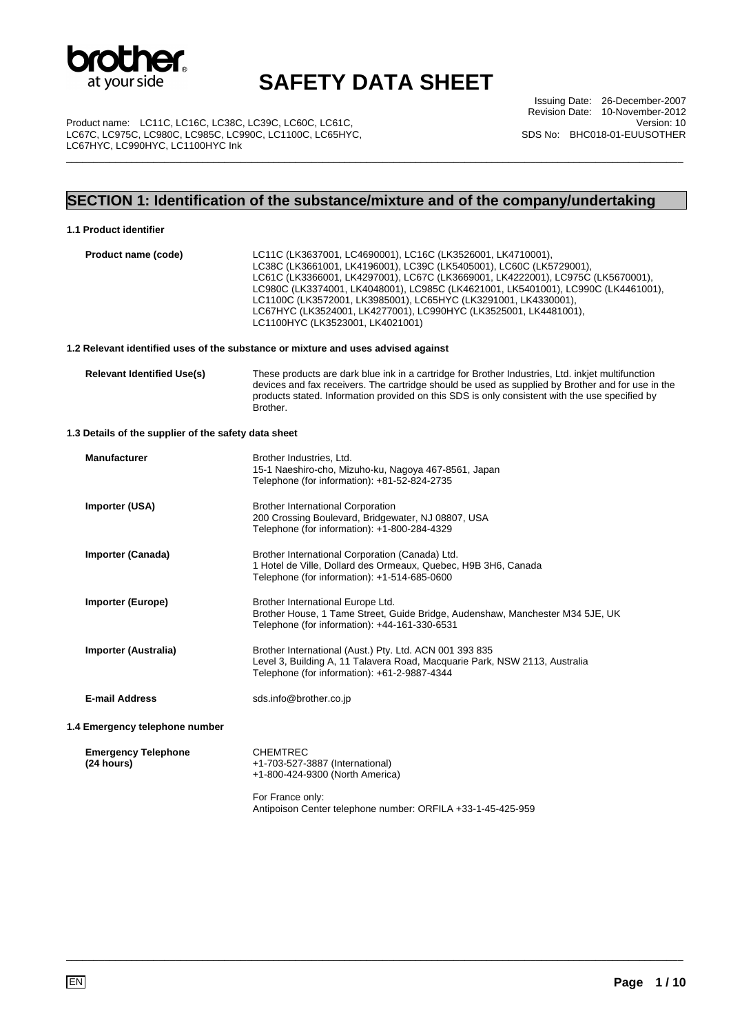

Issuing Date: 26-December-2007 Revision Date: 10-November-2012 Version: 10 SDS No: BHC018-01-EUUSOTHER

Product name: LC11C, LC16C, LC38C, LC39C, LC60C, LC61C, LC67C, LC975C, LC980C, LC985C, LC990C, LC1100C, LC65HYC, LC67HYC, LC990HYC, LC1100HYC Ink \_\_\_\_\_\_\_\_\_\_\_\_\_\_\_\_\_\_\_\_\_\_\_\_\_\_\_\_\_\_\_\_\_\_\_\_\_\_\_\_\_\_\_\_\_\_\_\_\_\_\_\_\_\_\_\_\_\_\_\_\_\_\_\_\_\_\_\_\_\_\_\_\_\_\_\_\_\_\_\_\_\_\_\_\_\_\_\_\_\_\_\_\_\_\_\_\_\_\_\_\_\_\_\_\_\_\_\_\_\_\_\_\_

## **SECTION 1: Identification of the substance/mixture and of the company/undertaking**

### **1.1 Product identifier**

| Product name (code)                                  | LC11C (LK3637001, LC4690001), LC16C (LK3526001, LK4710001),<br>LC38C (LK3661001, LK4196001), LC39C (LK5405001), LC60C (LK5729001),<br>LC61C (LK3366001, LK4297001), LC67C (LK3669001, LK4222001), LC975C (LK5670001),<br>LC980C (LK3374001, LK4048001), LC985C (LK4621001, LK5401001), LC990C (LK4461001),<br>LC1100C (LK3572001, LK3985001), LC65HYC (LK3291001, LK4330001),<br>LC67HYC (LK3524001, LK4277001), LC990HYC (LK3525001, LK4481001),<br>LC1100HYC (LK3523001, LK4021001) |
|------------------------------------------------------|---------------------------------------------------------------------------------------------------------------------------------------------------------------------------------------------------------------------------------------------------------------------------------------------------------------------------------------------------------------------------------------------------------------------------------------------------------------------------------------|
|                                                      | 1.2 Relevant identified uses of the substance or mixture and uses advised against                                                                                                                                                                                                                                                                                                                                                                                                     |
| <b>Relevant Identified Use(s)</b>                    | These products are dark blue ink in a cartridge for Brother Industries, Ltd. inkjet multifunction<br>devices and fax receivers. The cartridge should be used as supplied by Brother and for use in the<br>products stated. Information provided on this SDS is only consistent with the use specified by<br>Brother.                                                                                                                                                                  |
| 1.3 Details of the supplier of the safety data sheet |                                                                                                                                                                                                                                                                                                                                                                                                                                                                                       |
| <b>Manufacturer</b>                                  | Brother Industries, Ltd.<br>15-1 Naeshiro-cho, Mizuho-ku, Nagoya 467-8561, Japan<br>Telephone (for information): +81-52-824-2735                                                                                                                                                                                                                                                                                                                                                      |
| Importer (USA)                                       | <b>Brother International Corporation</b><br>200 Crossing Boulevard, Bridgewater, NJ 08807, USA<br>Telephone (for information): +1-800-284-4329                                                                                                                                                                                                                                                                                                                                        |
| Importer (Canada)                                    | Brother International Corporation (Canada) Ltd.<br>1 Hotel de Ville, Dollard des Ormeaux, Quebec, H9B 3H6, Canada<br>Telephone (for information): +1-514-685-0600                                                                                                                                                                                                                                                                                                                     |
| Importer (Europe)                                    | Brother International Europe Ltd.<br>Brother House, 1 Tame Street, Guide Bridge, Audenshaw, Manchester M34 5JE, UK<br>Telephone (for information): +44-161-330-6531                                                                                                                                                                                                                                                                                                                   |
| Importer (Australia)                                 | Brother International (Aust.) Pty. Ltd. ACN 001 393 835<br>Level 3, Building A, 11 Talavera Road, Macquarie Park, NSW 2113, Australia<br>Telephone (for information): +61-2-9887-4344                                                                                                                                                                                                                                                                                                 |
| <b>E-mail Address</b>                                | sds.info@brother.co.jp                                                                                                                                                                                                                                                                                                                                                                                                                                                                |
| 1.4 Emergency telephone number                       |                                                                                                                                                                                                                                                                                                                                                                                                                                                                                       |
| <b>Emergency Telephone</b><br>(24 hours)             | <b>CHEMTREC</b><br>+1-703-527-3887 (International)<br>+1-800-424-9300 (North America)                                                                                                                                                                                                                                                                                                                                                                                                 |
|                                                      | For France only:<br>Antipoison Center telephone number: ORFILA +33-1-45-425-959                                                                                                                                                                                                                                                                                                                                                                                                       |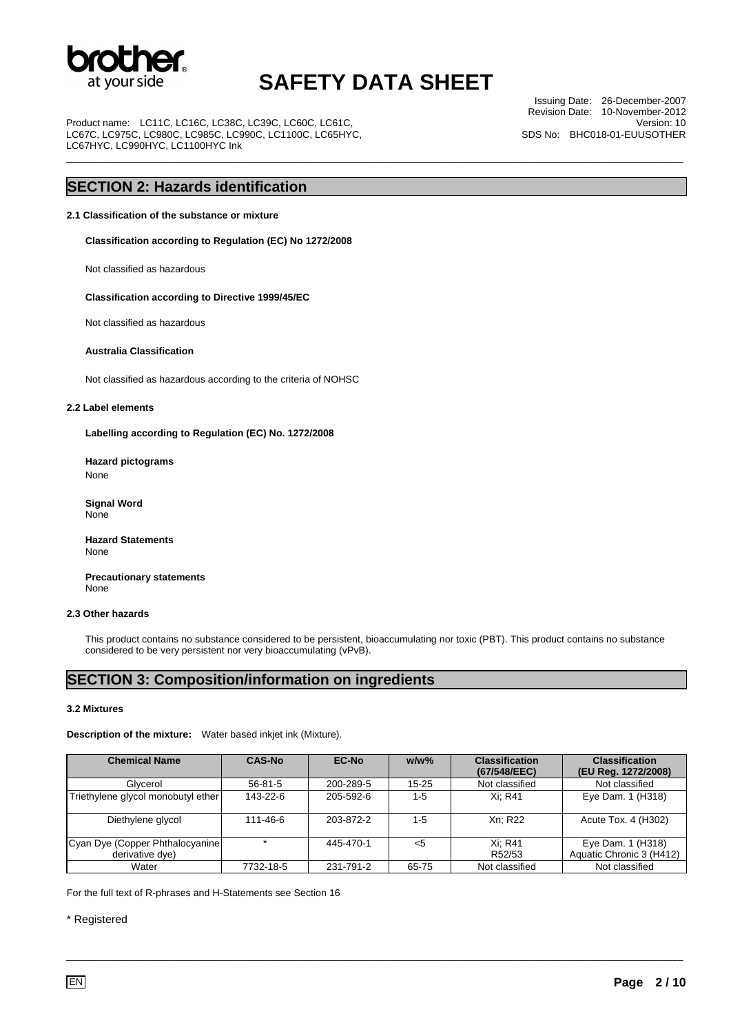

\_\_\_\_\_\_\_\_\_\_\_\_\_\_\_\_\_\_\_\_\_\_\_\_\_\_\_\_\_\_\_\_\_\_\_\_\_\_\_\_\_\_\_\_\_\_\_\_\_\_\_\_\_\_\_\_\_\_\_\_\_\_\_\_\_\_\_\_\_\_\_\_\_\_\_\_\_\_\_\_\_\_\_\_\_\_\_\_\_\_\_\_\_\_\_\_\_\_\_\_\_\_\_\_\_\_\_\_\_\_\_\_\_

Product name: LC11C, LC16C, LC38C, LC39C, LC60C, LC61C LC67C, LC975C, LC980C, LC985C, LC990C, LC1100C, LC65HYC, LC67HYC, LC990HYC, LC1100HYC Ink

Issuing Date: 26-December-2007 Revision Date: 10-November-2012 Version: 10 SDS No: BHC018-01-EUUSOTHER

### **SECTION 2: Hazards identification**

#### **2.1 Classification of the substance or mixture**

**Classification according to Regulation (EC) No 1272/2008** 

Not classified as hazardous

#### **Classification according to Directive 1999/45/EC**

Not classified as hazardous

#### **Australia Classification**

Not classified as hazardous according to the criteria of NOHSC

#### **2.2 Label elements**

**Labelling according to Regulation (EC) No. 1272/2008** 

**Hazard pictograms**  None

 **Signal Word**  None

**Hazard Statements**  None

 **Precautionary statements**  None

### **2.3 Other hazards**

This product contains no substance considered to be persistent, bioaccumulating nor toxic (PBT). This product contains no substance considered to be very persistent nor very bioaccumulating (vPvB).

### **SECTION 3: Composition/information on ingredients**

#### **3.2 Mixtures**

#### **Description of the mixture:** Water based inkjet ink (Mixture).

| <b>Chemical Name</b>               | <b>CAS-No</b> | <b>EC-No</b> | $w/w$ % | <b>Classification</b><br>(67/548/EEC) | <b>Classification</b><br>(EU Reg. 1272/2008) |
|------------------------------------|---------------|--------------|---------|---------------------------------------|----------------------------------------------|
| Glycerol                           | $56 - 81 - 5$ | 200-289-5    | 15-25   | Not classified                        | Not classified                               |
| Triethylene glycol monobutyl ether | 143-22-6      | 205-592-6    | $1 - 5$ | Xi: R41                               | Eye Dam. 1 (H318)                            |
| Diethylene glycol                  | 111-46-6      | 203-872-2    | $1 - 5$ | Xn: R22                               | Acute Tox. 4 (H302)                          |
| Cyan Dye (Copper Phthalocyanine)   |               | 445-470-1    | $<$ 5   | Xi: R41                               | Eye Dam. 1 (H318)                            |
| derivative dye)                    |               |              |         | R52/53                                | Aquatic Chronic 3 (H412)                     |
| Water                              | 7732-18-5     | 231-791-2    | 65-75   | Not classified                        | Not classified                               |

\_\_\_\_\_\_\_\_\_\_\_\_\_\_\_\_\_\_\_\_\_\_\_\_\_\_\_\_\_\_\_\_\_\_\_\_\_\_\_\_\_\_\_\_\_\_\_\_\_\_\_\_\_\_\_\_\_\_\_\_\_\_\_\_\_\_\_\_\_\_\_\_\_\_\_\_\_\_\_\_\_\_\_\_\_\_\_\_\_\_\_\_\_\_\_\_\_\_\_\_\_\_\_\_\_\_\_\_\_\_\_\_\_

For the full text of R-phrases and H-Statements see Section 16

### \* Registered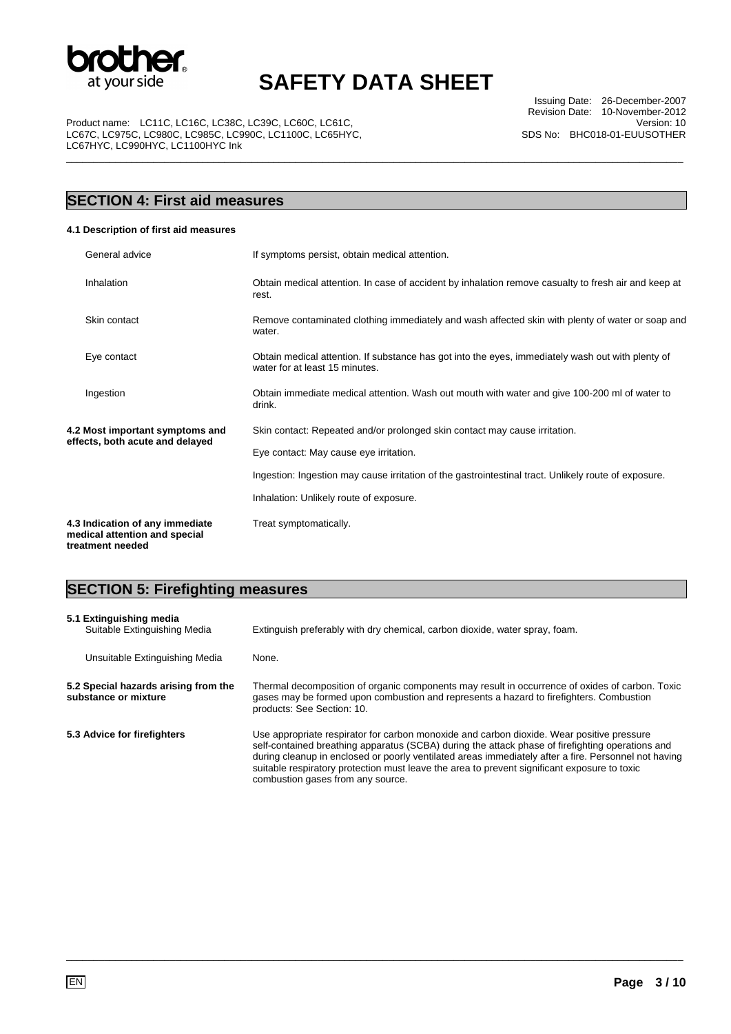

\_\_\_\_\_\_\_\_\_\_\_\_\_\_\_\_\_\_\_\_\_\_\_\_\_\_\_\_\_\_\_\_\_\_\_\_\_\_\_\_\_\_\_\_\_\_\_\_\_\_\_\_\_\_\_\_\_\_\_\_\_\_\_\_\_\_\_\_\_\_\_\_\_\_\_\_\_\_\_\_\_\_\_\_\_\_\_\_\_\_\_\_\_\_\_\_\_\_\_\_\_\_\_\_\_\_\_\_\_\_\_\_\_

Issuing Date: 26-December-2007 Revision Date: 10-November-2012 Version: 10 SDS No: BHC018-01-EUUSOTHER

Product name: LC11C, LC16C, LC38C, LC39C, LC60C, LC61C, LC67C, LC975C, LC980C, LC985C, LC990C, LC1100C, LC65HYC, LC67HYC, LC990HYC, LC1100HYC Ink

## **SECTION 4: First aid measures**

### **4.1 Description of first aid measures**

| General advice                                                                       | If symptoms persist, obtain medical attention.                                                                                      |
|--------------------------------------------------------------------------------------|-------------------------------------------------------------------------------------------------------------------------------------|
| Inhalation                                                                           | Obtain medical attention. In case of accident by inhalation remove casualty to fresh air and keep at<br>rest.                       |
| Skin contact                                                                         | Remove contaminated clothing immediately and wash affected skin with plenty of water or soap and<br>water.                          |
| Eye contact                                                                          | Obtain medical attention. If substance has got into the eyes, immediately wash out with plenty of<br>water for at least 15 minutes. |
| Ingestion                                                                            | Obtain immediate medical attention. Wash out mouth with water and give 100-200 ml of water to<br>drink.                             |
| 4.2 Most important symptoms and                                                      | Skin contact: Repeated and/or prolonged skin contact may cause irritation.                                                          |
| effects, both acute and delayed                                                      | Eye contact: May cause eye irritation.                                                                                              |
|                                                                                      | Ingestion: Ingestion may cause irritation of the gastrointestinal tract. Unlikely route of exposure.                                |
|                                                                                      | Inhalation: Unlikely route of exposure.                                                                                             |
| 4.3 Indication of any immediate<br>medical attention and special<br>treatment needed | Treat symptomatically.                                                                                                              |

## **SECTION 5: Firefighting measures**

| 5.1 Extinguishing media<br>Suitable Extinguishing Media      | Extinguish preferably with dry chemical, carbon dioxide, water spray, foam.                                                                                                                                                                                                                                                                                                                                                                |  |
|--------------------------------------------------------------|--------------------------------------------------------------------------------------------------------------------------------------------------------------------------------------------------------------------------------------------------------------------------------------------------------------------------------------------------------------------------------------------------------------------------------------------|--|
| Unsuitable Extinguishing Media                               | None.                                                                                                                                                                                                                                                                                                                                                                                                                                      |  |
| 5.2 Special hazards arising from the<br>substance or mixture | Thermal decomposition of organic components may result in occurrence of oxides of carbon. Toxic<br>gases may be formed upon combustion and represents a hazard to firefighters. Combustion<br>products: See Section: 10.                                                                                                                                                                                                                   |  |
| 5.3 Advice for firefighters                                  | Use appropriate respirator for carbon monoxide and carbon dioxide. Wear positive pressure<br>self-contained breathing apparatus (SCBA) during the attack phase of firefighting operations and<br>during cleanup in enclosed or poorly ventilated areas immediately after a fire. Personnel not having<br>suitable respiratory protection must leave the area to prevent significant exposure to toxic<br>combustion gases from any source. |  |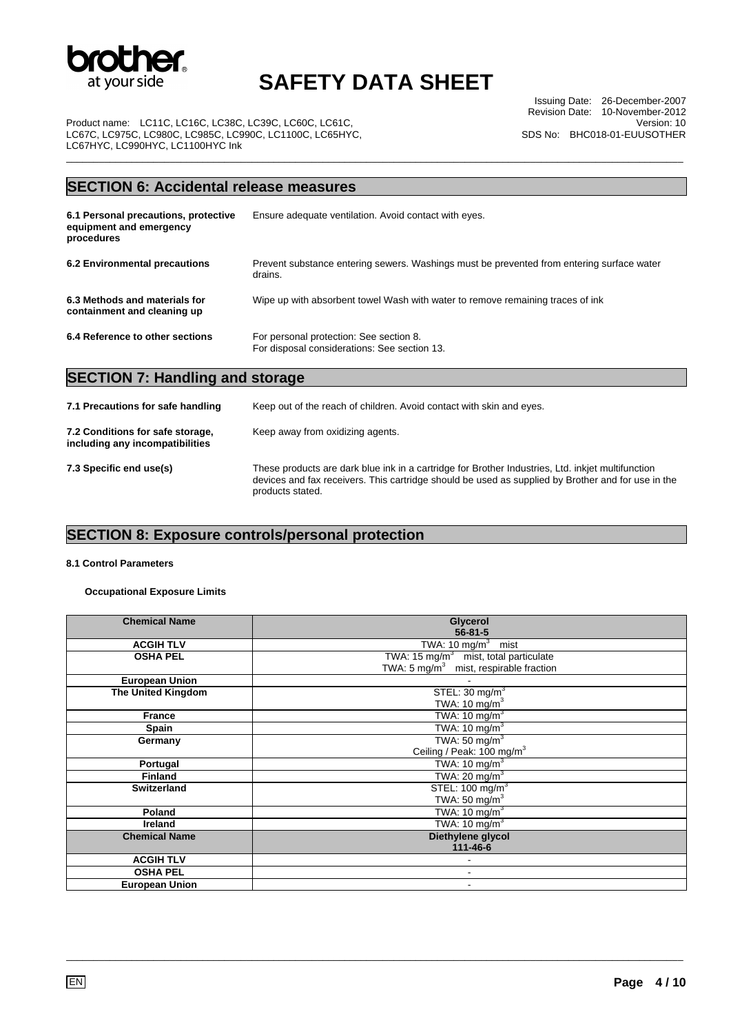

\_\_\_\_\_\_\_\_\_\_\_\_\_\_\_\_\_\_\_\_\_\_\_\_\_\_\_\_\_\_\_\_\_\_\_\_\_\_\_\_\_\_\_\_\_\_\_\_\_\_\_\_\_\_\_\_\_\_\_\_\_\_\_\_\_\_\_\_\_\_\_\_\_\_\_\_\_\_\_\_\_\_\_\_\_\_\_\_\_\_\_\_\_\_\_\_\_\_\_\_\_\_\_\_\_\_\_\_\_\_\_\_\_

Issuing Date: 26-December-2007 Revision Date: 10-November-2012 Version: 10 SDS No: BHC018-01-EUUSOTHER

Product name: LC11C, LC16C, LC38C, LC39C, LC60C, LC61C, LC67C, LC975C, LC980C, LC985C, LC990C, LC1100C, LC65HYC, LC67HYC, LC990HYC, LC1100HYC Ink

### **SECTION 6: Accidental release measures**

| 6.1 Personal precautions, protective<br>equipment and emergency<br>procedures | Ensure adequate ventilation. Avoid contact with eyes.                                                |
|-------------------------------------------------------------------------------|------------------------------------------------------------------------------------------------------|
| 6.2 Environmental precautions                                                 | Prevent substance entering sewers. Washings must be prevented from entering surface water<br>drains. |
| 6.3 Methods and materials for<br>containment and cleaning up                  | Wipe up with absorbent towel Wash with water to remove remaining traces of ink                       |
| 6.4 Reference to other sections                                               | For personal protection: See section 8.<br>For disposal considerations: See section 13.              |

### **SECTION 7: Handling and storage**

| 7.1 Precautions for safe handling                                   | Keep out of the reach of children. Avoid contact with skin and eyes.                                                                                                                                                        |  |
|---------------------------------------------------------------------|-----------------------------------------------------------------------------------------------------------------------------------------------------------------------------------------------------------------------------|--|
| 7.2 Conditions for safe storage,<br>including any incompatibilities | Keep away from oxidizing agents.                                                                                                                                                                                            |  |
| 7.3 Specific end use(s)                                             | These products are dark blue ink in a cartridge for Brother Industries, Ltd. inkjet multifunction<br>devices and fax receivers. This cartridge should be used as supplied by Brother and for use in the<br>products stated. |  |

## **SECTION 8: Exposure controls/personal protection**

### **8.1 Control Parameters**

**Occupational Exposure Limits** 

| <b>Chemical Name</b>      | Glycerol<br>$56 - 81 - 5$                          |
|---------------------------|----------------------------------------------------|
| <b>ACGIH TLV</b>          | TWA: $10 \text{ mg/m}^3$ mist                      |
|                           |                                                    |
| <b>OSHA PEL</b>           | TWA: 15 mg/ $m3$ mist, total particulate           |
|                           | TWA: 5 mg/m <sup>3</sup> mist, respirable fraction |
| <b>European Union</b>     |                                                    |
| <b>The United Kingdom</b> | STEL: $30 \text{ mg/m}^3$                          |
|                           | TWA: 10 mg/m <sup>3</sup>                          |
| <b>France</b>             | TWA: $10 \text{ mg/m}^3$                           |
| Spain                     | TWA: 10 mg/m $3$                                   |
| Germany                   | TWA: 50 mg/m $3$                                   |
|                           | Ceiling / Peak: 100 mg/m <sup>3</sup>              |
| Portugal                  | TWA: $10 \text{ mg/m}^3$                           |
| <b>Finland</b>            | TWA: $20 \text{ mg/m}^3$                           |
| <b>Switzerland</b>        | STEL: 100 mg/m <sup>3</sup>                        |
|                           | TWA: 50 mg/ $m3$                                   |
| Poland                    | TWA: 10 mg/m <sup>3</sup>                          |
| <b>Ireland</b>            | TWA: 10 mg/m $3$                                   |
| <b>Chemical Name</b>      | Diethylene glycol                                  |
|                           | $111 - 46 - 6$                                     |
| <b>ACGIH TLV</b>          |                                                    |
| <b>OSHA PEL</b>           | $\blacksquare$                                     |
| <b>European Union</b>     | $\overline{\phantom{a}}$                           |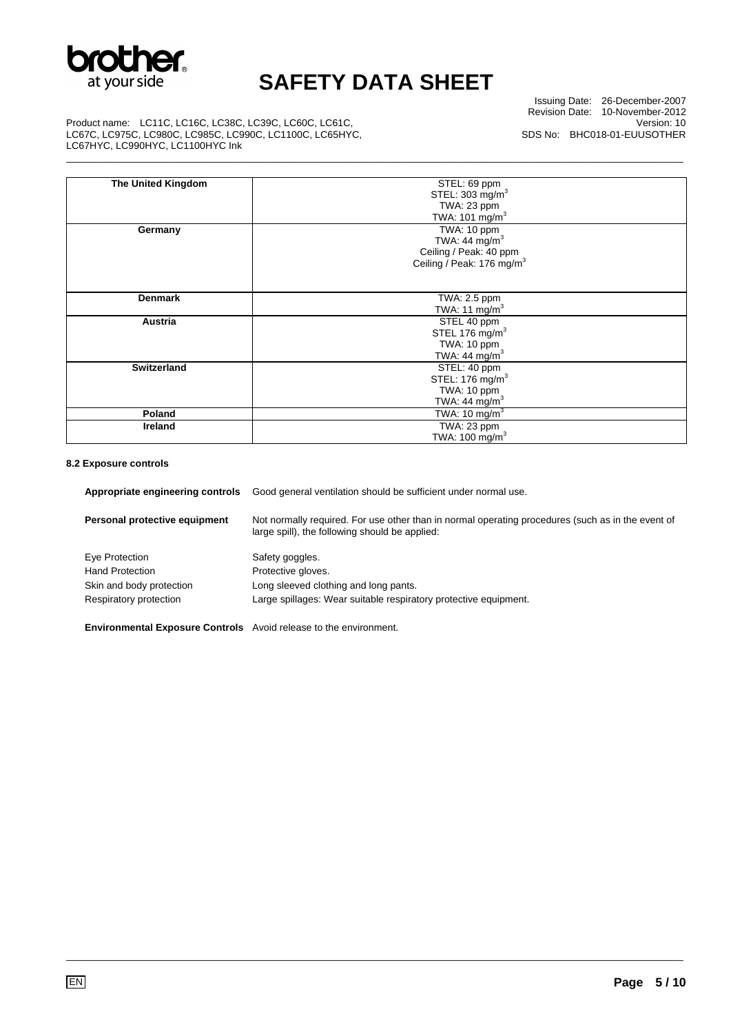

\_\_\_\_\_\_\_\_\_\_\_\_\_\_\_\_\_\_\_\_\_\_\_\_\_\_\_\_\_\_\_\_\_\_\_\_\_\_\_\_\_\_\_\_\_\_\_\_\_\_\_\_\_\_\_\_\_\_\_\_\_\_\_\_\_\_\_\_\_\_\_\_\_\_\_\_\_\_\_\_\_\_\_\_\_\_\_\_\_\_\_\_\_\_\_\_\_\_\_\_\_\_\_\_\_\_\_\_\_\_\_\_\_

Issuing Date: 26-December-2007 Revision Date: 10-November-2012 Version: 10 SDS No: BHC018-01-EUUSOTHER

Product name: LC11C, LC16C, LC38C, LC39C, LC60C, LC61C, LC67C, LC975C, LC980C, LC985C, LC990C, LC1100C, LC65HYC, LC67HYC, LC990HYC, LC1100HYC Ink

| <b>The United Kingdom</b> | STEL: 69 ppm                          |
|---------------------------|---------------------------------------|
|                           | STEL: 303 mg/m <sup>3</sup>           |
|                           | TWA: 23 ppm                           |
|                           | TWA: 101 mg/m <sup>3</sup>            |
|                           |                                       |
| Germany                   | TWA: 10 ppm                           |
|                           | TWA: 44 $mg/m3$                       |
|                           | Ceiling / Peak: 40 ppm                |
|                           | Ceiling / Peak: 176 mg/m <sup>3</sup> |
|                           |                                       |
|                           |                                       |
| <b>Denmark</b>            | TWA: 2.5 ppm                          |
|                           |                                       |
|                           | TWA: 11 $mg/m3$                       |
| Austria                   | STEL 40 ppm                           |
|                           | STEL 176 mg/m <sup>3</sup>            |
|                           | TWA: 10 ppm                           |
|                           | TWA: 44 $mg/m3$                       |
| <b>Switzerland</b>        | STEL: 40 ppm                          |
|                           | STEL: 176 mg/m <sup>3</sup>           |
|                           | TWA: 10 ppm                           |
|                           | TWA: 44 mg/m <sup>3</sup>             |
|                           |                                       |
| Poland                    | TWA: 10 mg/m $3$                      |
| <b>Ireland</b>            | $\overline{\text{TWA: 23 ppm}}$       |
|                           | TWA: 100 mg/m <sup>3</sup>            |

#### **8.2 Exposure controls**

| Appropriate engineering controls                                         | Good general ventilation should be sufficient under normal use.                                                                                     |
|--------------------------------------------------------------------------|-----------------------------------------------------------------------------------------------------------------------------------------------------|
| Personal protective equipment                                            | Not normally required. For use other than in normal operating procedures (such as in the event of<br>large spill), the following should be applied: |
| Eye Protection                                                           | Safety goggles.                                                                                                                                     |
| <b>Hand Protection</b>                                                   | Protective gloves.                                                                                                                                  |
| Skin and body protection                                                 | Long sleeved clothing and long pants.                                                                                                               |
| Respiratory protection                                                   | Large spillages: Wear suitable respiratory protective equipment.                                                                                    |
| <b>Environmental Exposure Controls</b> Avoid release to the environment. |                                                                                                                                                     |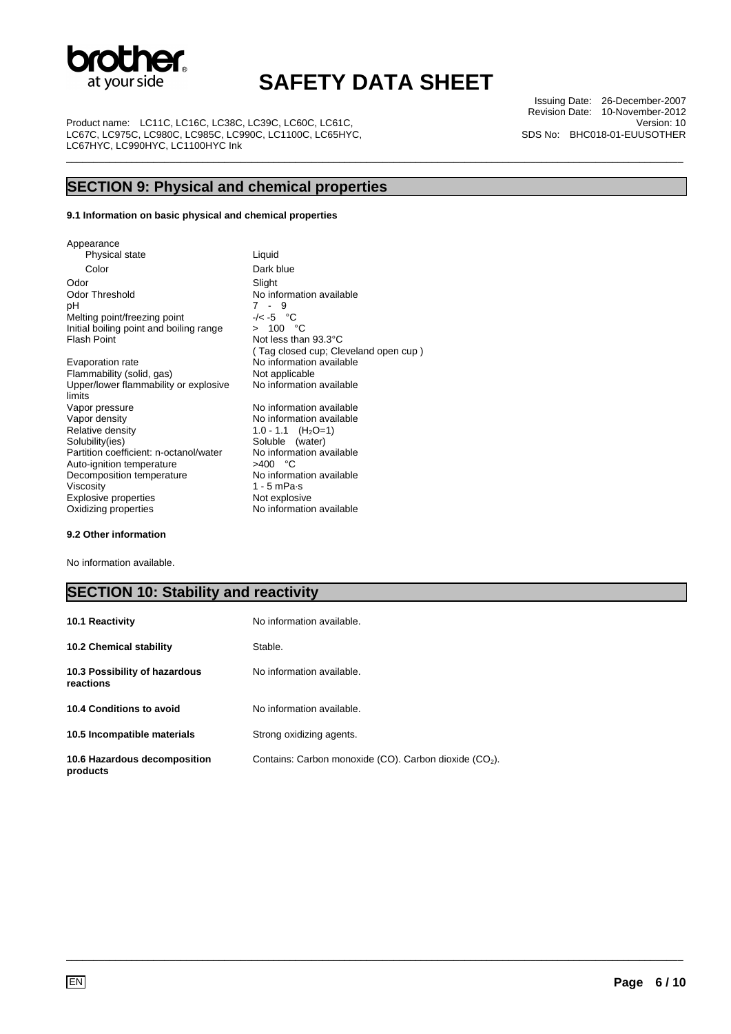

\_\_\_\_\_\_\_\_\_\_\_\_\_\_\_\_\_\_\_\_\_\_\_\_\_\_\_\_\_\_\_\_\_\_\_\_\_\_\_\_\_\_\_\_\_\_\_\_\_\_\_\_\_\_\_\_\_\_\_\_\_\_\_\_\_\_\_\_\_\_\_\_\_\_\_\_\_\_\_\_\_\_\_\_\_\_\_\_\_\_\_\_\_\_\_\_\_\_\_\_\_\_\_\_\_\_\_\_\_\_\_\_\_

Product name: LC11C, LC16C, LC38C, LC39C, LC60C, LC61C LC67C, LC975C, LC980C, LC985C, LC990C, LC1100C, LC65HYC, LC67HYC, LC990HYC, LC1100HYC Ink

Issuing Date: 26-December-2007 Revision Date: 10-November-2012 Version: 10 SDS No: BHC018-01-EUUSOTHER

### **SECTION 9: Physical and chemical properties**

### **9.1 Information on basic physical and chemical properties**

Appearance Physical state Liquid Color Dark blue Odor Slight Odor Threshold No information available<br>pH  $\,$ 7 - 9  $7 - 9$ <br>-/< -5 °C Melting point/freezing point  $-/-5$  °C<br>Initial boiling point and boiling range  $> 100$  °C Initial boiling point and boiling range Flash Point **Not less than 93.3°C** Evaporation rate No information available Flammability (solid, gas) Not applicable Upper/lower flammability or explosive limits<br>Vapor pressure Vapor density **No information available** Relative density  $1.0 - 1.1$  (H<sub>2</sub>O=1)<br>Solubility(ies) Soluble (water) Partition coefficient: n-octanol/water No information coefficient: n-octanol/water No information  $>400$  °C Auto-ignition temperature  $>400 °C$ <br>Decomposition temperature No information available Decomposition temperature<br>Viscosity 1 - 5 mPa·s<br>Not explosive Explosive properties Oxidizing properties No information available

( Tag closed cup; Cleveland open cup ) No information available No information available Soluble (water)<br>No information available

#### **9.2 Other information**

No information available.

### **SECTION 10: Stability and reactivity**

| <b>10.1 Reactivity</b>                     | No information available.                                          |
|--------------------------------------------|--------------------------------------------------------------------|
| <b>10.2 Chemical stability</b>             | Stable.                                                            |
| 10.3 Possibility of hazardous<br>reactions | No information available.                                          |
| 10.4 Conditions to avoid                   | No information available.                                          |
| 10.5 Incompatible materials                | Strong oxidizing agents.                                           |
| 10.6 Hazardous decomposition<br>products   | Contains: Carbon monoxide (CO). Carbon dioxide (CO <sub>2</sub> ). |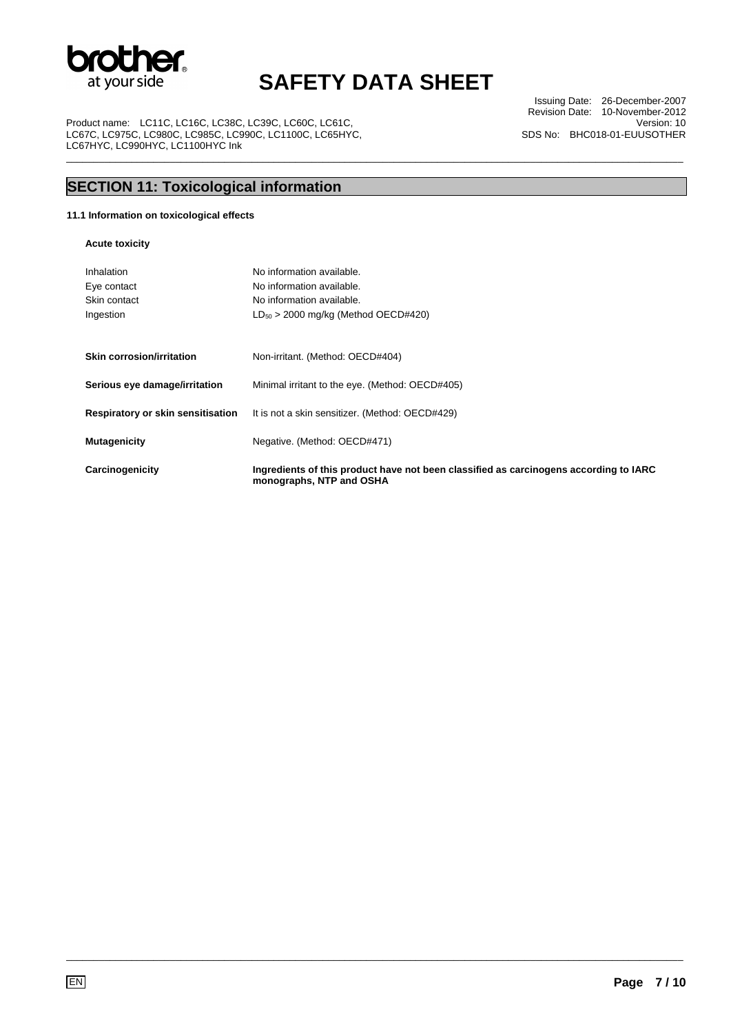

\_\_\_\_\_\_\_\_\_\_\_\_\_\_\_\_\_\_\_\_\_\_\_\_\_\_\_\_\_\_\_\_\_\_\_\_\_\_\_\_\_\_\_\_\_\_\_\_\_\_\_\_\_\_\_\_\_\_\_\_\_\_\_\_\_\_\_\_\_\_\_\_\_\_\_\_\_\_\_\_\_\_\_\_\_\_\_\_\_\_\_\_\_\_\_\_\_\_\_\_\_\_\_\_\_\_\_\_\_\_\_\_\_

Product name: LC11C, LC16C, LC38C, LC39C, LC60C, LC61C, LC67C, LC975C, LC980C, LC985C, LC990C, LC1100C, LC65HYC, LC67HYC, LC990HYC, LC1100HYC Ink

Issuing Date: 26-December-2007 Revision Date: 10-November-2012 Version: 10 SDS No: BHC018-01-EUUSOTHER

## **SECTION 11: Toxicological information**

### **11.1 Information on toxicological effects**

**Acute toxicity** 

| Inhalation<br>Eye contact<br>Skin contact<br>Ingestion | No information available.<br>No information available.<br>No information available.<br>$LD_{50}$ > 2000 mg/kg (Method OECD#420) |
|--------------------------------------------------------|---------------------------------------------------------------------------------------------------------------------------------|
| Skin corrosion/irritation                              | Non-irritant. (Method: OECD#404)                                                                                                |
| Serious eye damage/irritation                          | Minimal irritant to the eye. (Method: OECD#405)                                                                                 |
| Respiratory or skin sensitisation                      | It is not a skin sensitizer. (Method: OECD#429)                                                                                 |
| <b>Mutagenicity</b>                                    | Negative. (Method: OECD#471)                                                                                                    |
| Carcinogenicity                                        | Ingredients of this product have not been classified as carcinogens according to IARC<br>monographs, NTP and OSHA               |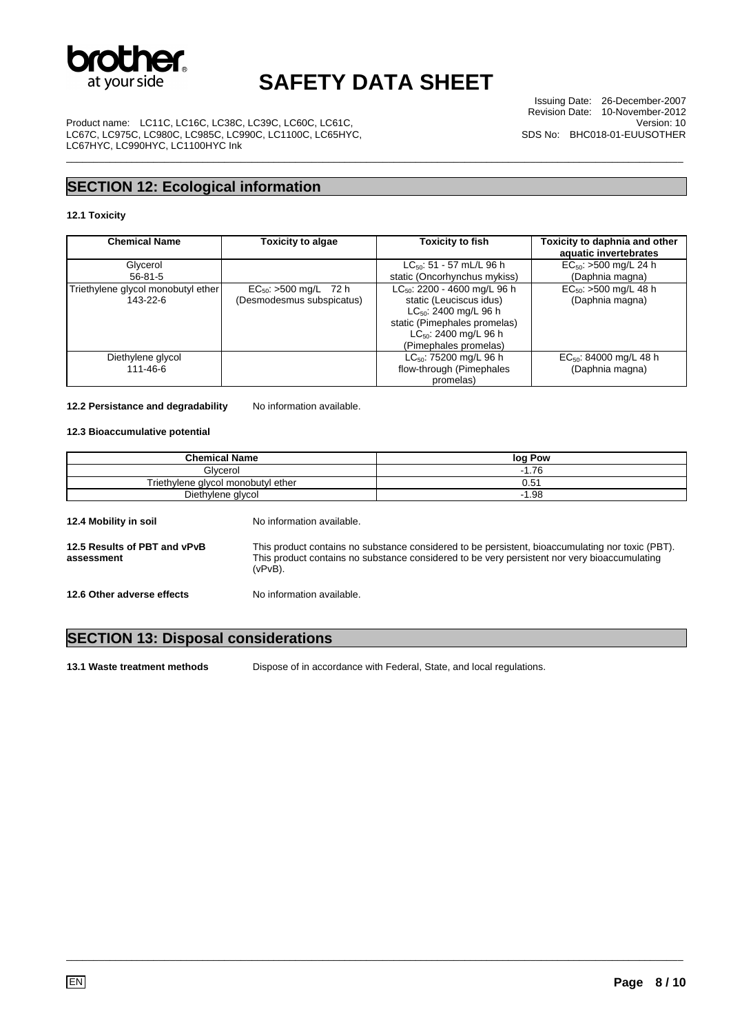

\_\_\_\_\_\_\_\_\_\_\_\_\_\_\_\_\_\_\_\_\_\_\_\_\_\_\_\_\_\_\_\_\_\_\_\_\_\_\_\_\_\_\_\_\_\_\_\_\_\_\_\_\_\_\_\_\_\_\_\_\_\_\_\_\_\_\_\_\_\_\_\_\_\_\_\_\_\_\_\_\_\_\_\_\_\_\_\_\_\_\_\_\_\_\_\_\_\_\_\_\_\_\_\_\_\_\_\_\_\_\_\_\_

Issuing Date: 26-December-2007 Revision Date: 10-November-2012 Version: 10 SDS No: BHC018-01-EUUSOTHER

Product name: LC11C, LC16C, LC38C, LC39C, LC60C, LC61C, LC67C, LC975C, LC980C, LC985C, LC990C, LC1100C, LC65HYC, LC67HYC, LC990HYC, LC1100HYC Ink

### **SECTION 12: Ecological information**

### **12.1 Toxicity**

| <b>Chemical Name</b>                           | Toxicity to algae                                            | <b>Toxicity to fish</b>                                                                                                                                                           | Toxicity to daphnia and other<br>aquatic invertebrates |
|------------------------------------------------|--------------------------------------------------------------|-----------------------------------------------------------------------------------------------------------------------------------------------------------------------------------|--------------------------------------------------------|
| Glycerol<br>$56 - 81 - 5$                      |                                                              | $LC_{50}$ : 51 - 57 mL/L 96 h<br>static (Oncorhynchus mykiss)                                                                                                                     | $EC_{50}$ : >500 mg/L 24 h<br>(Daphnia magna)          |
| Triethylene glycol monobutyl ether<br>143-22-6 | $EC_{50}$ : >500 mg/L<br>- 72 h<br>(Desmodesmus subspicatus) | $LC_{50}$ : 2200 - 4600 mg/L 96 h<br>static (Leuciscus idus)<br>$LC_{50}$ : 2400 mg/L 96 h<br>static (Pimephales promelas)<br>$LC_{50}$ : 2400 mg/L 96 h<br>(Pimephales promelas) | $EC_{50}$ : >500 mg/L 48 h<br>(Daphnia magna)          |
| Diethylene glycol<br>111-46-6                  |                                                              | $LC_{50}$ : 75200 mg/L 96 h<br>flow-through (Pimephales<br>promelas)                                                                                                              | $EC_{50}$ : 84000 mg/L 48 h<br>(Daphnia magna)         |

#### **12.2 Persistance and degradability** No information available.

### **12.3 Bioaccumulative potential**

| <b>Chemical Name</b>                       |                                                                                                                                                                                                             | log Pow |
|--------------------------------------------|-------------------------------------------------------------------------------------------------------------------------------------------------------------------------------------------------------------|---------|
| Glycerol                                   |                                                                                                                                                                                                             | $-1.76$ |
| Triethylene glycol monobutyl ether         |                                                                                                                                                                                                             | 0.51    |
| Diethylene glycol                          |                                                                                                                                                                                                             | $-1.98$ |
| 12.4 Mobility in soil                      | No information available.                                                                                                                                                                                   |         |
| 12.5 Results of PBT and vPvB<br>assessment | This product contains no substance considered to be persistent, bioaccumulating nor toxic (PBT).<br>This product contains no substance considered to be very persistent nor very bioaccumulating<br>(vPvB). |         |
| 12.6 Other adverse effects                 | No information available.                                                                                                                                                                                   |         |

### **SECTION 13: Disposal considerations**

**13.1 Waste treatment methods** 

**13.1 Waste treatment methods** Dispose of in accordance with Federal, State, and local regulations.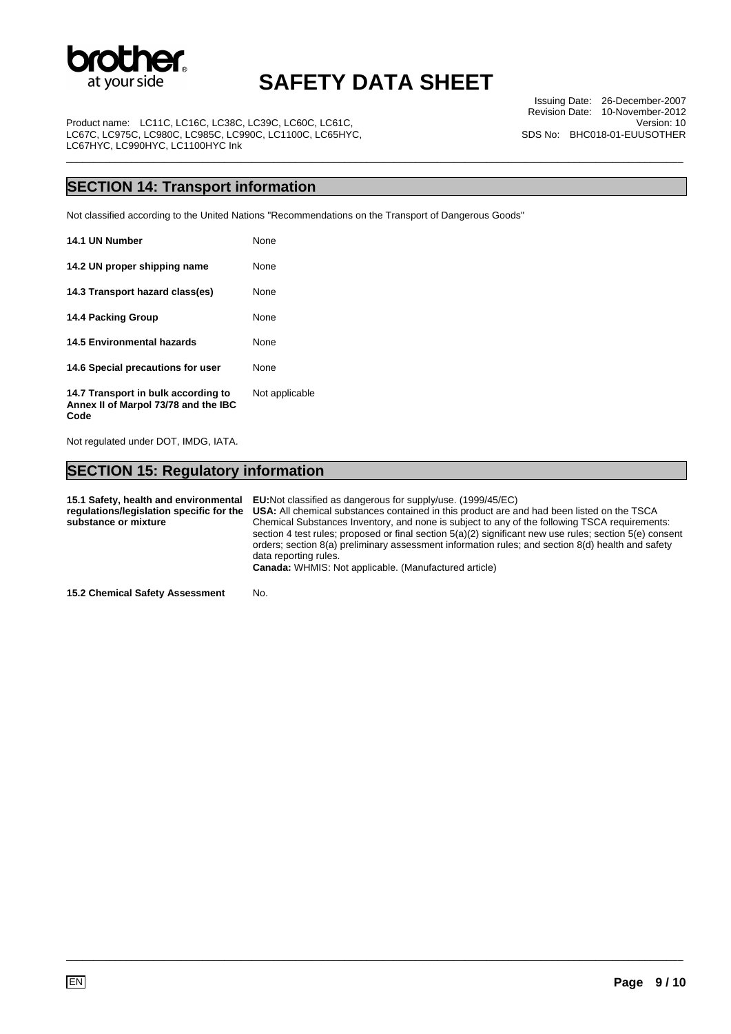

\_\_\_\_\_\_\_\_\_\_\_\_\_\_\_\_\_\_\_\_\_\_\_\_\_\_\_\_\_\_\_\_\_\_\_\_\_\_\_\_\_\_\_\_\_\_\_\_\_\_\_\_\_\_\_\_\_\_\_\_\_\_\_\_\_\_\_\_\_\_\_\_\_\_\_\_\_\_\_\_\_\_\_\_\_\_\_\_\_\_\_\_\_\_\_\_\_\_\_\_\_\_\_\_\_\_\_\_\_\_\_\_\_

Issuing Date: 26-December-2007 Revision Date: 10-November-2012 Version: 10 SDS No: BHC018-01-EUUSOTHER

Product name: LC11C, LC16C, LC38C, LC39C, LC60C, LC61C LC67C, LC975C, LC980C, LC985C, LC990C, LC1100C, LC65HYC, LC67HYC, LC990HYC, LC1100HYC Ink

### **SECTION 14: Transport information**

Not classified according to the United Nations "Recommendations on the Transport of Dangerous Goods"

| 14.1 UN Number                                                                      | None           |
|-------------------------------------------------------------------------------------|----------------|
| 14.2 UN proper shipping name                                                        | None           |
| 14.3 Transport hazard class(es)                                                     | None           |
| 14.4 Packing Group                                                                  | None           |
| <b>14.5 Environmental hazards</b>                                                   | None           |
| 14.6 Special precautions for user                                                   | None           |
| 14.7 Transport in bulk according to<br>Annex II of Marpol 73/78 and the IBC<br>Code | Not applicable |

Not regulated under DOT, IMDG, IATA.

### **SECTION 15: Regulatory information**

**15.1 Safety, health and environmental regulations/legislation specific for the substance or mixture EU:**Not classified as dangerous for supply/use. (1999/45/EC) **USA:** All chemical substances contained in this product are and had been listed on the TSCA Chemical Substances Inventory, and none is subject to any of the following TSCA requirements: section 4 test rules; proposed or final section 5(a)(2) significant new use rules; section 5(e) consent orders; section 8(a) preliminary assessment information rules; and section 8(d) health and safety data reporting rules. **Canada:** WHMIS: Not applicable. (Manufactured article)

\_\_\_\_\_\_\_\_\_\_\_\_\_\_\_\_\_\_\_\_\_\_\_\_\_\_\_\_\_\_\_\_\_\_\_\_\_\_\_\_\_\_\_\_\_\_\_\_\_\_\_\_\_\_\_\_\_\_\_\_\_\_\_\_\_\_\_\_\_\_\_\_\_\_\_\_\_\_\_\_\_\_\_\_\_\_\_\_\_\_\_\_\_\_\_\_\_\_\_\_\_\_\_\_\_\_\_\_\_\_\_\_\_

**15.2 Chemical Safety Assessment** No.